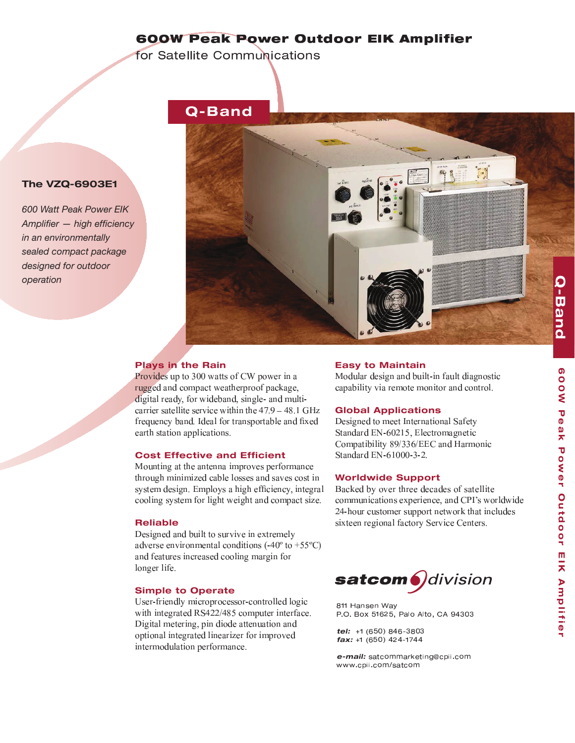## < <sup>=</sup> <sup>=</sup> <sup>&</sup>gt; ? @ <sup>A</sup> <sup>B</sup> ? <sup>C</sup> <sup>D</sup> @ <sup>E</sup> <sup>F</sup> <sup>G</sup> <sup>H</sup> <sup>I</sup> <sup>C</sup> <sup>C</sup> <sup>E</sup> <sup>J</sup> <sup>K</sup> <sup>L</sup> <sup>M</sup> <sup>N</sup> <sup>O</sup> <sup>P</sup> <sup>Q</sup> <sup>R</sup> <sup>Q</sup> @ <sup>E</sup>

 $\mathcal{S}$  T  $\mathcal{S}$   $\mathcal{S}$   $\mathcal{S}$   $\mathcal{S}$   $\mathcal{S}$   $\mathcal{S}$   $\mathcal{S}$   $\mathcal{S}$   $\mathcal{S}$   $\mathcal{S}$   $\mathcal{S}$   $\mathcal{S}$   $\mathcal{S}$   $\mathcal{S}$   $\mathcal{S}$   $\mathcal{S}$   $\mathcal{S}$   $\mathcal{S}$   $\mathcal{S}$   $\mathcal{S}$   $\mathcal{S}$   $\mathcal{S}$   $\mathcal{S}$   $\math$ 



### **Plays in the Rain**

**The VZQ-6903E1**

*operation*

*600 Watt Peak Power EIK Amplifier — high efficiency in an environmentally sealed compact package designed for outdoor* 

> $\mathbf{r}$  , and the state  $\mathbf{r}$  - - - . . . . . . . . . . . . . . . ! " # \$ % & frequency band. Ideal for transportable and fixe - -

#### **Cost Effective and Efficient**

 $\begin{array}{ccccccccccc} \cdot & \cdot & \cdot & \cdot & \cdot & \cdot & \cdot & \cdot & \cdot & \cdot & \cdot & \cdot & \cdot \end{array}$  - & - - , - ) - - - - &

#### **Reliable**

- - \* - - - .  / - <sup>0</sup> <sup>1</sup> <sup>1</sup> / <sup>2</sup> - - - -

#### **Simple to Operate**

3 - - - - - - <sup>4</sup> <sup>5</sup> <sup>6</sup> <sup>6</sup> <sup>7</sup> " <sup>1</sup> - - - - - - & - - - - -

#### **Easy to Maintain**

+ - - - - - - -

#### **Global Applications**

- - ( - <sup>5</sup> 5 , <sup>8</sup> <sup>9</sup> <sup>6</sup> # <sup>1</sup> , - - " 7 <sup>9</sup> <sup>7</sup> , , % - 5 , <sup>8</sup> <sup>9</sup> #    <sup>6</sup>

#### **Worldwide Support**

: - - - - \* ( ; - 6 - - - - \* - - <sup>5</sup>



b <sup>c</sup> <sup>c</sup> <sup>d</sup> <sup>e</sup> <sup>f</sup> <sup>g</sup> <sup>h</sup> <sup>f</sup> <sup>i</sup> <sup>e</sup> <sup>j</sup> k <sup>l</sup> m <sup>l</sup> <sup>n</sup> <sup>o</sup> <sup>p</sup> <sup>q</sup> c <sup>r</sup> <sup>s</sup> <sup>q</sup> <sup>t</sup> <sup>k</sup> e <sup>u</sup> <sup>o</sup> <sup>v</sup> u w <sup>o</sup> <sup>t</sup> <sup>x</sup> <sup>v</sup> <sup>y</sup> <sup>z</sup> { <sup>|</sup> {

**tel:** +1 (650) 846-380  $fax: +1 (650) 424-174$ 

**e-mail:** satcommarketing@cpij.co  $l$   $\alpha$   $l$   $\alpha$   $l$   $\alpha$   $l$   $\alpha$   $l$   $\alpha$   $l$   $\alpha$   $l$   $\alpha$   $l$   $\alpha$   $l$   $\alpha$   $l$   $\alpha$   $l$   $\alpha$   $l$   $\alpha$   $l$   $\alpha$   $l$   $\alpha$   $l$   $\alpha$   $l$   $\alpha$   $l$   $\alpha$   $l$   $\alpha$   $l$   $\alpha$   $l$   $\alpha$   $l$   $\alpha$   $l$   $\alpha$   $l$   $\alpha$   $l$   $\alpha$   $l$